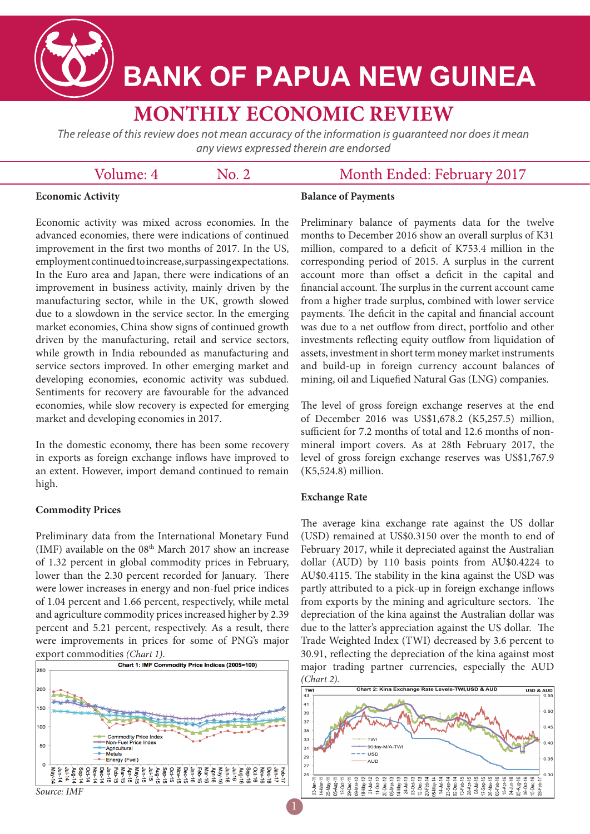

# **BANK OF PAPUA NEW GUINEA**

# **MONTHLY ECONOMIC REVIEW**

The release of this review does not mean accuracy of the information is guaranteed nor does it mean any views expressed therein are endorsed

 $\mathrm{No}$ . 2.

## Volume: 4

### Month Ended: February 2017

#### **Economic Activity**

#### **Balance of Payments**

Economic activity was mixed across economies. In the advanced economies, there were indications of continued improvement in the first two months of 2017. In the US, employment continued to increase, surpassing expectations. In the Euro area and Japan, there were indications of an improvement in business activity, mainly driven by the manufacturing sector, while in the UK, growth slowed due to a slowdown in the service sector. In the emerging market economies, China show signs of continued growth driven by the manufacturing, retail and service sectors, while growth in India rebounded as manufacturing and service sectors improved. In other emerging market and developing economies, economic activity was subdued. Sentiments for recovery are favourable for the advanced economies, while slow recovery is expected for emerging market and developing economies in 2017.

In the domestic economy, there has been some recovery in exports as foreign exchange inflows have improved to an extent. However, import demand continued to remain high.

#### **Commodity Prices**

Preliminary data from the International Monetary Fund (IMF) available on the  $08<sup>th</sup>$  March 2017 show an increase of 1.32 percent in global commodity prices in February, lower than the 2.30 percent recorded for January. There were lower increases in energy and non-fuel price indices of 1.04 percent and 1.66 percent, respectively, while metal and agriculture commodity prices increased higher by 2.39 percent and 5.21 percent, respectively. As a result, there were improvements in prices for some of PNG's major export commodities *(Chart 1)*.



Preliminary balance of payments data for the twelve months to December 2016 show an overall surplus of K31 million, compared to a deficit of K753.4 million in the corresponding period of 2015. A surplus in the current account more than offset a deficit in the capital and financial account. The surplus in the current account came from a higher trade surplus, combined with lower service payments. The deficit in the capital and financial account was due to a net outflow from direct, portfolio and other investments reflecting equity outflow from liquidation of assets, investment in short term money market instruments and build-up in foreign currency account balances of mining, oil and Liquefied Natural Gas (LNG) companies.

The level of gross foreign exchange reserves at the end of December 2016 was US\$1,678.2 (K5,257.5) million, sufficient for 7.2 months of total and 12.6 months of nonmineral import covers. As at 28th February 2017, the level of gross foreign exchange reserves was US\$1,767.9 (K5,524.8) million.

#### **Exchange Rate**

The average kina exchange rate against the US dollar (USD) remained at US\$0.3150 over the month to end of February 2017, while it depreciated against the Australian dollar (AUD) by 110 basis points from AU\$0.4224 to AU\$0.4115. The stability in the kina against the USD was partly attributed to a pick-up in foreign exchange inflows from exports by the mining and agriculture sectors. The depreciation of the kina against the Australian dollar was due to the latter's appreciation against the US dollar. The Trade Weighted Index (TWI) decreased by 3.6 percent to 30.91, reflecting the depreciation of the kina against most major trading partner currencies, especially the AUD

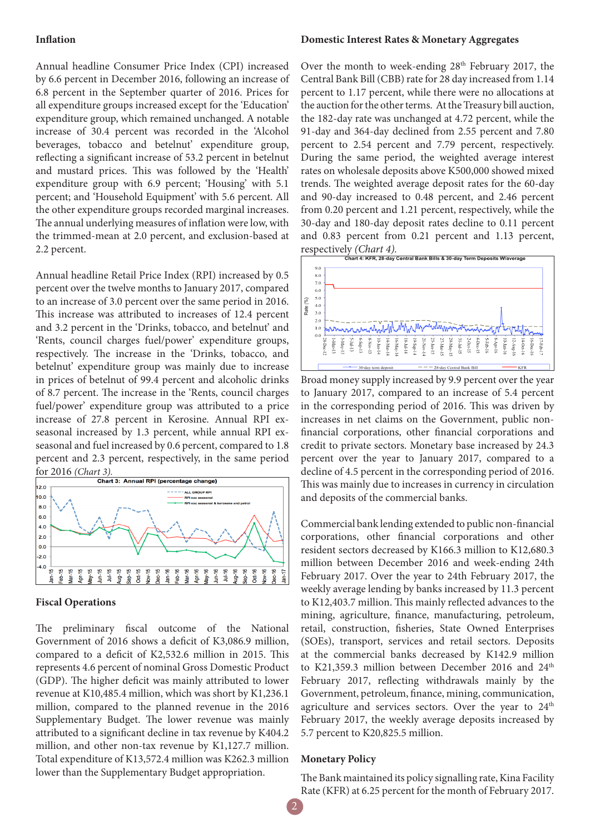#### **Inflation**

Annual headline Consumer Price Index (CPI) increased by 6.6 percent in December 2016, following an increase of 6.8 percent in the September quarter of 2016. Prices for all expenditure groups increased except for the 'Education' expenditure group, which remained unchanged. A notable increase of 30.4 percent was recorded in the 'Alcohol beverages, tobacco and betelnut' expenditure group, reflecting a significant increase of 53.2 percent in betelnut and mustard prices. This was followed by the 'Health' expenditure group with 6.9 percent; 'Housing' with 5.1 percent; and 'Household Equipment' with 5.6 percent. All the other expenditure groups recorded marginal increases. The annual underlying measures of inflation were low, with the trimmed-mean at 2.0 percent, and exclusion-based at 2.2 percent.

Annual headline Retail Price Index (RPI) increased by 0.5 percent over the twelve months to January 2017, compared to an increase of 3.0 percent over the same period in 2016. This increase was attributed to increases of 12.4 percent and 3.2 percent in the 'Drinks, tobacco, and betelnut' and 'Rents, council charges fuel/power' expenditure groups, respectively. The increase in the 'Drinks, tobacco, and betelnut' expenditure group was mainly due to increase in prices of betelnut of 99.4 percent and alcoholic drinks of 8.7 percent. The increase in the 'Rents, council charges fuel/power' expenditure group was attributed to a price increase of 27.8 percent in Kerosine. Annual RPI exseasonal increased by 1.3 percent, while annual RPI exseasonal and fuel increased by 0.6 percent, compared to 1.8 percent and 2.3 percent, respectively, in the same period



#### **Fiscal Operations**

The preliminary fiscal outcome of the National Government of 2016 shows a deficit of K3,086.9 million, compared to a deficit of K2,532.6 million in 2015. This represents 4.6 percent of nominal Gross Domestic Product (GDP). The higher deficit was mainly attributed to lower revenue at K10,485.4 million, which was short by K1,236.1 million, compared to the planned revenue in the 2016 Supplementary Budget. The lower revenue was mainly attributed to a significant decline in tax revenue by K404.2 million, and other non-tax revenue by K1,127.7 million. Total expenditure of K13,572.4 million was K262.3 million lower than the Supplementary Budget appropriation.

#### **Domestic Interest Rates & Monetary Aggregates**

Over the month to week-ending 28<sup>th</sup> February 2017, the Central Bank Bill (CBB) rate for 28 day increased from 1.14 percent to 1.17 percent, while there were no allocations at the auction for the other terms. At the Treasury bill auction, the 182-day rate was unchanged at 4.72 percent, while the 91-day and 364-day declined from 2.55 percent and 7.80 percent to 2.54 percent and 7.79 percent, respectively. During the same period, the weighted average interest rates on wholesale deposits above K500,000 showed mixed trends. The weighted average deposit rates for the 60-day and 90-day increased to 0.48 percent, and 2.46 percent from 0.20 percent and 1.21 percent, respectively, while the 30-day and 180-day deposit rates decline to 0.11 percent and 0.83 percent from 0.21 percent and 1.13 percent,



Broad money supply increased by 9.9 percent over the year to January 2017, compared to an increase of 5.4 percent in the corresponding period of 2016. This was driven by increases in net claims on the Government, public nonfinancial corporations, other financial corporations and credit to private sectors. Monetary base increased by 24.3 percent over the year to January 2017, compared to a decline of 4.5 percent in the corresponding period of 2016. This was mainly due to increases in currency in circulation and deposits of the commercial banks.

Commercial bank lending extended to public non-financial corporations, other financial corporations and other resident sectors decreased by K166.3 million to K12,680.3 million between December 2016 and week-ending 24th February 2017. Over the year to 24th February 2017, the weekly average lending by banks increased by 11.3 percent to K12,403.7 million. This mainly reflected advances to the mining, agriculture, finance, manufacturing, petroleum, retail, construction, fisheries, State Owned Enterprises (SOEs), transport, services and retail sectors. Deposits at the commercial banks decreased by K142.9 million to K21,359.3 million between December 2016 and 24<sup>th</sup> February 2017, reflecting withdrawals mainly by the Government, petroleum, finance, mining, communication, agriculture and services sectors. Over the year to  $24<sup>th</sup>$ February 2017, the weekly average deposits increased by 5.7 percent to K20,825.5 million.

#### **Monetary Policy**

The Bank maintained its policy signalling rate, Kina Facility Rate (KFR) at 6.25 percent for the month of February 2017.